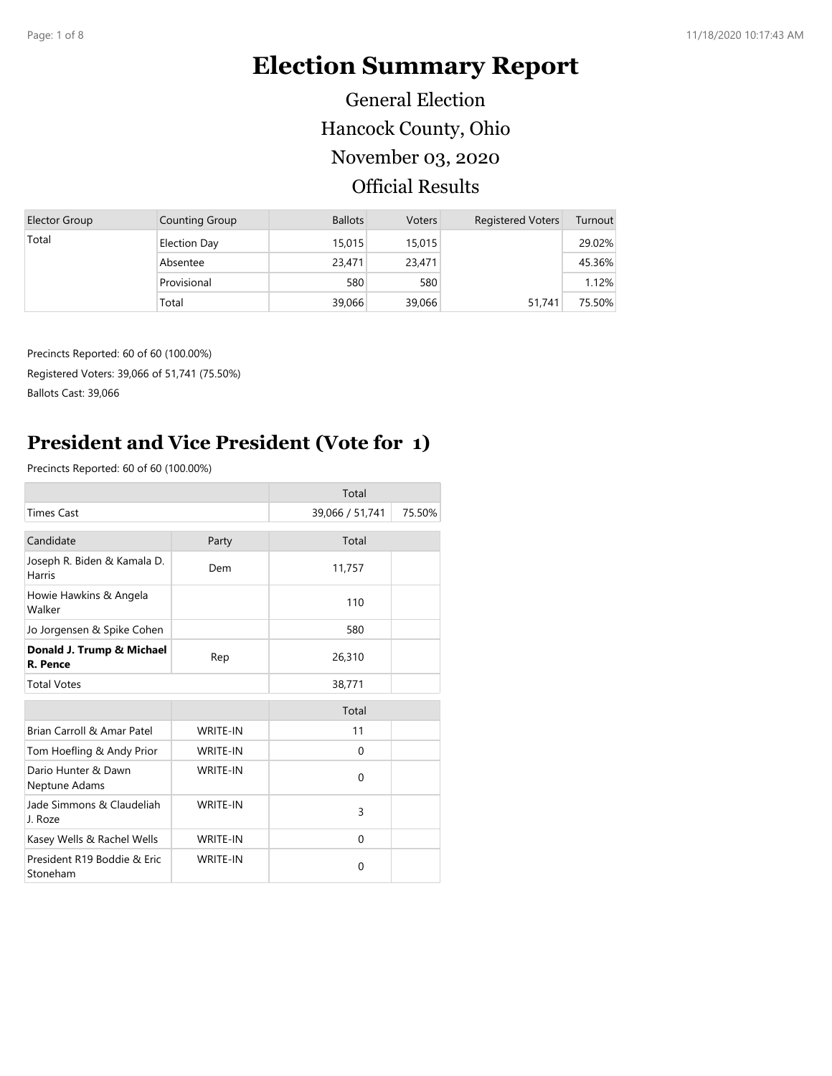# **Election Summary Report**

Hancock County, Ohio Official Results November 03, 2020 General Election

| Elector Group | Counting Group      | <b>Ballots</b> | <b>Voters</b> | <b>Registered Voters</b> | Turnout |
|---------------|---------------------|----------------|---------------|--------------------------|---------|
| Total         | <b>Election Day</b> | 15,015         | 15,015        |                          | 29.02%  |
|               | Absentee            | 23,471         | 23,471        |                          | 45.36%  |
|               | Provisional         | 580            | 580           |                          | 1.12%   |
|               | Total               | 39,066         | 39,066        | 51,741                   | 75.50%  |

Precincts Reported: 60 of 60 (100.00%) Registered Voters: 39,066 of 51,741 (75.50%)

Ballots Cast: 39,066

#### **President and Vice President (Vote for 1)**

|                                              |                 | Total           |        |
|----------------------------------------------|-----------------|-----------------|--------|
| <b>Times Cast</b>                            |                 | 39,066 / 51,741 | 75.50% |
| Candidate                                    | Party           | Total           |        |
| Joseph R. Biden & Kamala D.<br><b>Harris</b> | Dem             | 11,757          |        |
| Howie Hawkins & Angela<br>Walker             |                 | 110             |        |
| Jo Jorgensen & Spike Cohen                   |                 | 580             |        |
| Donald J. Trump & Michael<br>R. Pence        | Rep             | 26,310          |        |
| <b>Total Votes</b>                           |                 | 38,771          |        |
|                                              |                 | Total           |        |
| Brian Carroll & Amar Patel                   | <b>WRITE-IN</b> | 11              |        |
| Tom Hoefling & Andy Prior                    | <b>WRITE-IN</b> | $\Omega$        |        |
| Dario Hunter & Dawn<br>Neptune Adams         | <b>WRITE-IN</b> | $\Omega$        |        |
| Jade Simmons & Claudeliah<br>J. Roze         | <b>WRITE-IN</b> | 3               |        |
| Kasey Wells & Rachel Wells                   | <b>WRITE-IN</b> | $\Omega$        |        |
| President R19 Boddie & Eric<br>Stoneham      | <b>WRITE-IN</b> | 0               |        |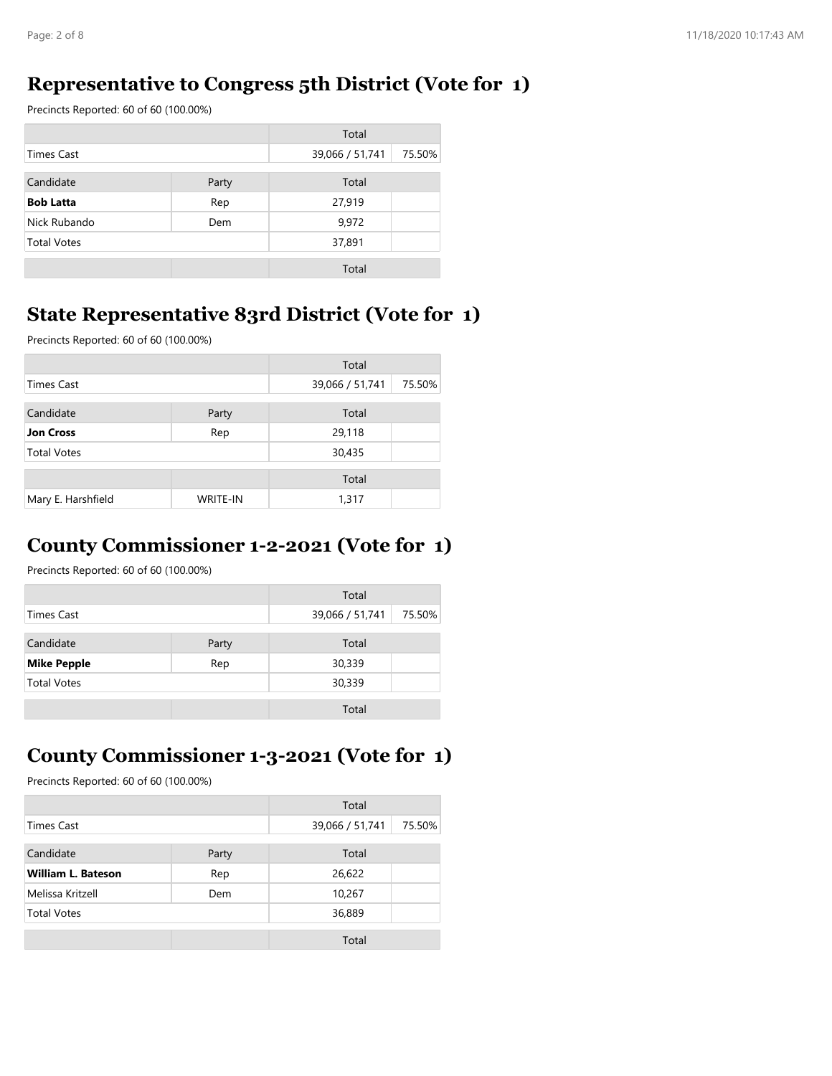#### **Representative to Congress 5th District (Vote for 1)**

Precincts Reported: 60 of 60 (100.00%)

|                    |       | Total           |        |
|--------------------|-------|-----------------|--------|
| Times Cast         |       | 39,066 / 51,741 | 75.50% |
| Candidate          | Party | Total           |        |
| <b>Bob Latta</b>   | Rep   | 27,919          |        |
| Nick Rubando       | Dem   | 9,972           |        |
| <b>Total Votes</b> |       | 37,891          |        |
|                    |       | Total           |        |

#### **State Representative 83rd District (Vote for 1)**

Precincts Reported: 60 of 60 (100.00%)

|                    |                 | Total           |        |
|--------------------|-----------------|-----------------|--------|
| <b>Times Cast</b>  |                 | 39,066 / 51,741 | 75.50% |
| Candidate          | Party           | Total           |        |
| <b>Jon Cross</b>   | Rep             | 29,118          |        |
| <b>Total Votes</b> |                 | 30,435          |        |
|                    |                 | Total           |        |
| Mary E. Harshfield | <b>WRITE-IN</b> | 1,317           |        |

#### **County Commissioner 1-2-2021 (Vote for 1)**

Precincts Reported: 60 of 60 (100.00%)

|                           |  | Total           |        |
|---------------------------|--|-----------------|--------|
| Times Cast                |  | 39,066 / 51,741 | 75.50% |
| Candidate<br>Party        |  | Total           |        |
| <b>Mike Pepple</b><br>Rep |  | 30,339          |        |
| <b>Total Votes</b>        |  | 30,339          |        |
|                           |  | Total           |        |

#### **County Commissioner 1-3-2021 (Vote for 1)**

|                           |       | Total           |        |
|---------------------------|-------|-----------------|--------|
| <b>Times Cast</b>         |       | 39,066 / 51,741 | 75.50% |
| Candidate                 | Party | Total           |        |
| <b>William L. Bateson</b> | Rep   | 26,622          |        |
| Melissa Kritzell          | Dem   | 10,267          |        |
| <b>Total Votes</b>        |       | 36,889          |        |
|                           |       | Total           |        |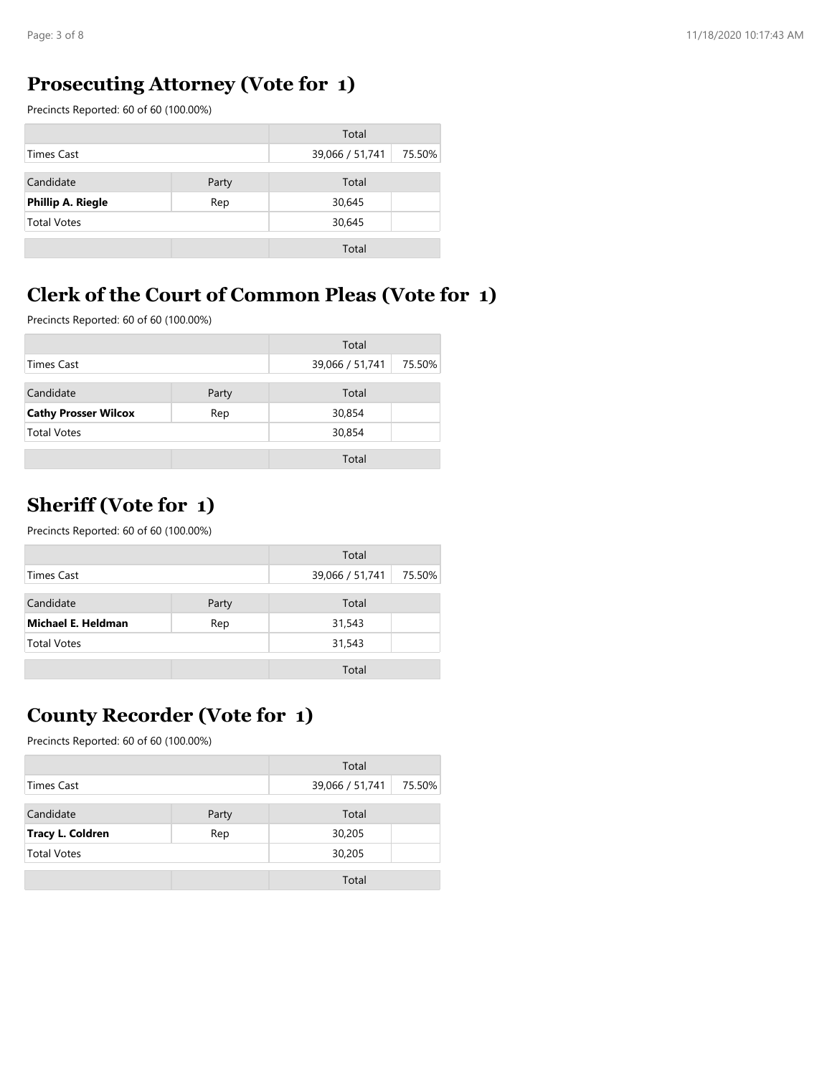## **Prosecuting Attorney (Vote for 1)**

Precincts Reported: 60 of 60 (100.00%)

|                                 |  | Total           |        |
|---------------------------------|--|-----------------|--------|
| Times Cast                      |  | 39,066 / 51,741 | 75.50% |
| Candidate<br>Party              |  | Total           |        |
| <b>Phillip A. Riegle</b><br>Rep |  | 30,645          |        |
| <b>Total Votes</b>              |  | 30,645          |        |
|                                 |  | Total           |        |

## **Clerk of the Court of Common Pleas (Vote for 1)**

Precincts Reported: 60 of 60 (100.00%)

|                                    |  | Total           |        |
|------------------------------------|--|-----------------|--------|
| Times Cast                         |  | 39,066 / 51,741 | 75.50% |
| Candidate<br>Party                 |  | Total           |        |
| <b>Cathy Prosser Wilcox</b><br>Rep |  | 30,854          |        |
| <b>Total Votes</b>                 |  | 30,854          |        |
|                                    |  | Total           |        |

#### **Sheriff (Vote for 1)**

Precincts Reported: 60 of 60 (100.00%)

|                           |       | Total           |        |
|---------------------------|-------|-----------------|--------|
| Times Cast                |       | 39,066 / 51,741 | 75.50% |
| Candidate                 | Party | Total           |        |
| Michael E. Heldman<br>Rep |       | 31,543          |        |
| <b>Total Votes</b>        |       | 31,543          |        |
|                           |       | Total           |        |

## **County Recorder (Vote for 1)**

|                                |  | Total           |        |
|--------------------------------|--|-----------------|--------|
| Times Cast                     |  | 39,066 / 51,741 | 75.50% |
| Candidate<br>Party             |  | Total           |        |
| <b>Tracy L. Coldren</b><br>Rep |  | 30,205          |        |
| <b>Total Votes</b>             |  | 30,205          |        |
|                                |  | Total           |        |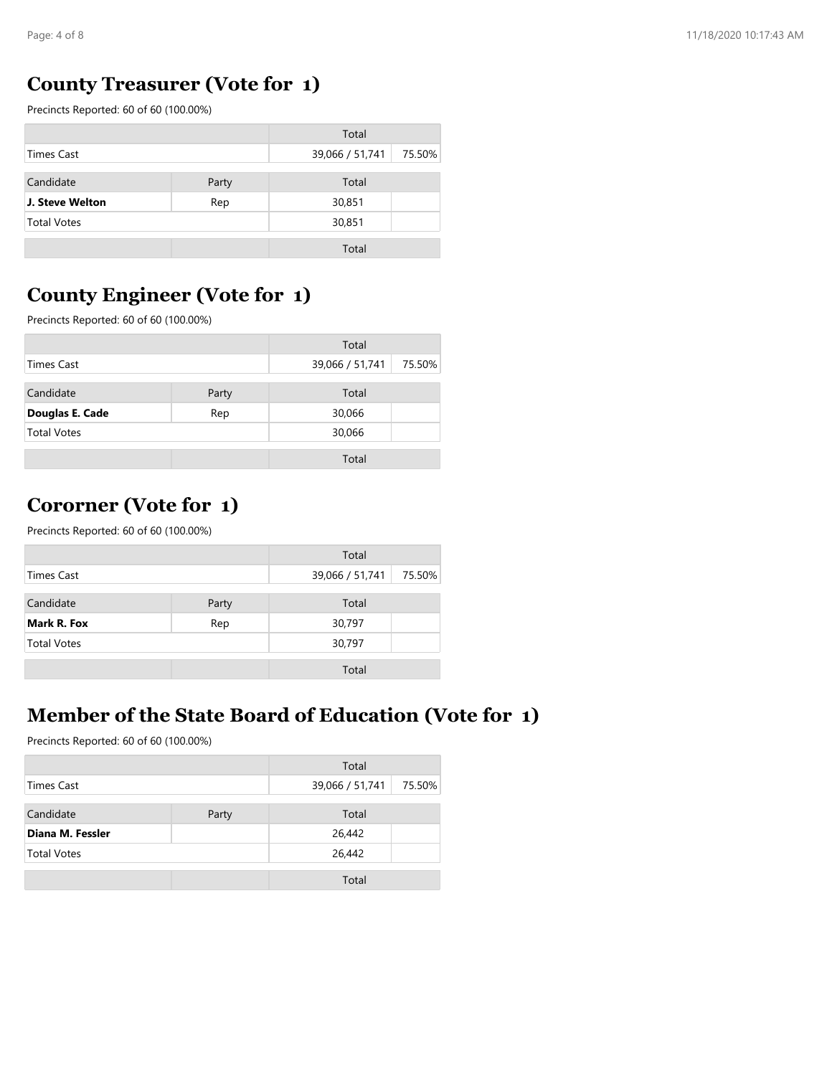#### **County Treasurer (Vote for 1)**

Precincts Reported: 60 of 60 (100.00%)

|                                  |  | Total           |        |
|----------------------------------|--|-----------------|--------|
| Times Cast                       |  | 39,066 / 51,741 | 75.50% |
| Candidate<br>Party               |  | Total           |        |
| J. Steve Welton<br>30,851<br>Rep |  |                 |        |
| <b>Total Votes</b>               |  | 30,851          |        |
|                                  |  | Total           |        |

#### **County Engineer (Vote for 1)**

Precincts Reported: 60 of 60 (100.00%)

| Total                  |  |                 |        |
|------------------------|--|-----------------|--------|
| Times Cast             |  | 39,066 / 51,741 | 75.50% |
| Candidate<br>Party     |  | Total           |        |
| Douglas E. Cade<br>Rep |  | 30,066          |        |
| <b>Total Votes</b>     |  | 30,066          |        |
|                        |  | Total           |        |

#### **Cororner (Vote for 1)**

Precincts Reported: 60 of 60 (100.00%)

|                    |       | Total           |        |
|--------------------|-------|-----------------|--------|
| Times Cast         |       | 39,066 / 51,741 | 75.50% |
| Candidate          | Party | Total           |        |
| Mark R. Fox        | Rep   | 30,797          |        |
| <b>Total Votes</b> |       | 30,797          |        |
|                    |       | Total           |        |

### **Member of the State Board of Education (Vote for 1)**

|                    |       | Total           |        |
|--------------------|-------|-----------------|--------|
| <b>Times Cast</b>  |       | 39,066 / 51,741 | 75.50% |
| Candidate          | Party | Total           |        |
| Diana M. Fessler   |       | 26,442          |        |
| <b>Total Votes</b> |       | 26,442          |        |
|                    |       | Total           |        |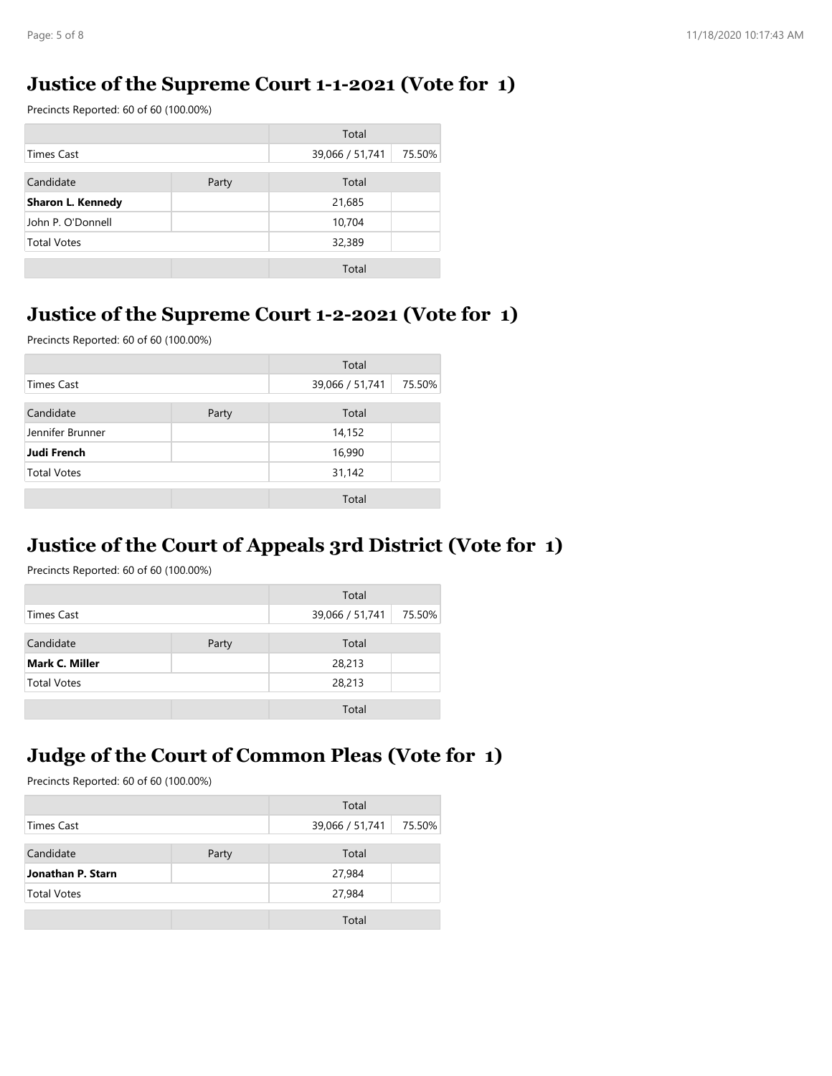## **Justice of the Supreme Court 1-1-2021 (Vote for 1)**

Precincts Reported: 60 of 60 (100.00%)

|                    |       | Total           |        |
|--------------------|-------|-----------------|--------|
| Times Cast         |       | 39,066 / 51,741 | 75.50% |
| Candidate          | Party | Total           |        |
| Sharon L. Kennedy  |       | 21,685          |        |
| John P. O'Donnell  |       | 10,704          |        |
| <b>Total Votes</b> |       | 32,389          |        |
|                    |       | Total           |        |

#### **Justice of the Supreme Court 1-2-2021 (Vote for 1)**

Precincts Reported: 60 of 60 (100.00%)

|                    |       | Total           |        |
|--------------------|-------|-----------------|--------|
| <b>Times Cast</b>  |       | 39,066 / 51,741 | 75.50% |
| Candidate          | Party | Total           |        |
| Jennifer Brunner   |       | 14,152          |        |
| <b>Judi French</b> |       | 16,990          |        |
| <b>Total Votes</b> |       | 31,142          |        |
|                    |       | Total           |        |

#### **Justice of the Court of Appeals 3rd District (Vote for 1)**

Precincts Reported: 60 of 60 (100.00%)

|                       |       | Total           |        |
|-----------------------|-------|-----------------|--------|
| <b>Times Cast</b>     |       | 39,066 / 51,741 | 75.50% |
| Candidate             | Party | Total           |        |
| <b>Mark C. Miller</b> |       | 28,213          |        |
| <b>Total Votes</b>    |       | 28,213          |        |
|                       |       | Total           |        |

#### **Judge of the Court of Common Pleas (Vote for 1)**

|                    |  | Total           |        |
|--------------------|--|-----------------|--------|
| Times Cast         |  | 39,066 / 51,741 | 75.50% |
| Candidate<br>Party |  | Total           |        |
| Jonathan P. Starn  |  | 27,984          |        |
| <b>Total Votes</b> |  | 27,984          |        |
|                    |  | Total           |        |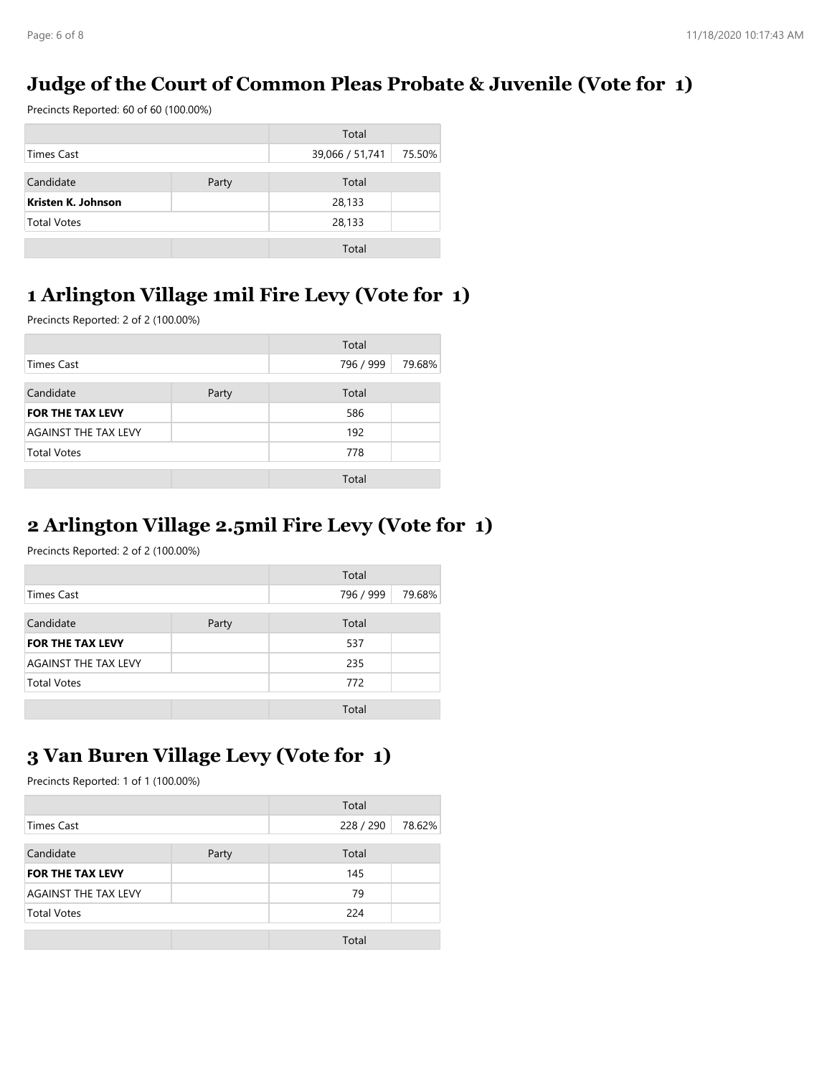#### **Judge of the Court of Common Pleas Probate & Juvenile (Vote for 1)**

Precincts Reported: 60 of 60 (100.00%)

|                    | Total |                 |        |
|--------------------|-------|-----------------|--------|
| Times Cast         |       | 39,066 / 51,741 | 75.50% |
| Candidate<br>Party |       | Total           |        |
| Kristen K. Johnson |       | 28,133          |        |
| <b>Total Votes</b> |       | 28,133          |        |
|                    |       | Total           |        |

### **1 Arlington Village 1mil Fire Levy (Vote for 1)**

Precincts Reported: 2 of 2 (100.00%)

| Total                       |       |           |        |
|-----------------------------|-------|-----------|--------|
| <b>Times Cast</b>           |       | 796 / 999 | 79.68% |
| Candidate                   | Party | Total     |        |
| <b>FOR THE TAX LEVY</b>     |       | 586       |        |
| <b>AGAINST THE TAX LEVY</b> |       | 192       |        |
| <b>Total Votes</b>          |       | 778       |        |
|                             |       | Total     |        |

#### **2 Arlington Village 2.5mil Fire Levy (Vote for 1)**

Precincts Reported: 2 of 2 (100.00%)

|                             |       | Total     |        |
|-----------------------------|-------|-----------|--------|
| Times Cast                  |       | 796 / 999 | 79.68% |
| Candidate                   | Party | Total     |        |
| <b>FOR THE TAX LEVY</b>     |       | 537       |        |
| <b>AGAINST THE TAX LEVY</b> |       | 235       |        |
| <b>Total Votes</b>          |       | 772       |        |
|                             |       | Total     |        |

### **3 Van Buren Village Levy (Vote for 1)**

|            | Total |                    |
|------------|-------|--------------------|
| Times Cast |       | 78.62%             |
|            |       |                    |
|            |       |                    |
|            | 145   |                    |
|            | 79    |                    |
|            | 224   |                    |
|            | Total |                    |
|            | Party | 228 / 290<br>Total |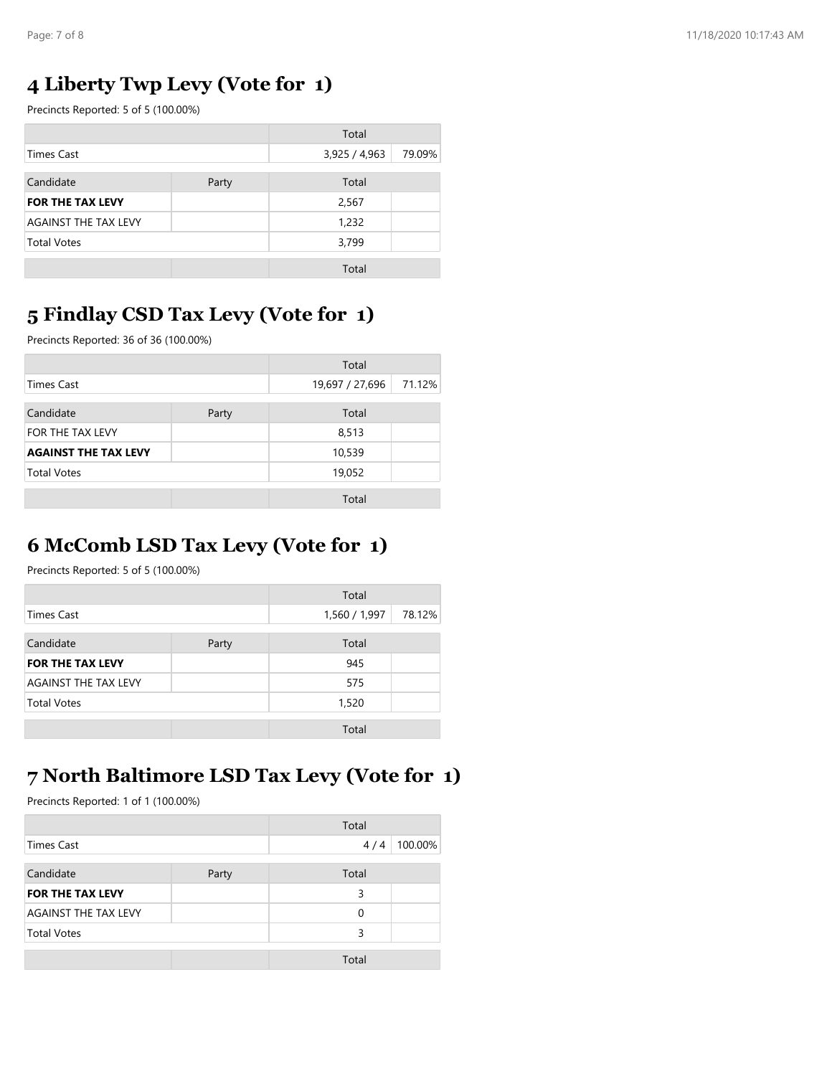#### **4 Liberty Twp Levy (Vote for 1)**

Precincts Reported: 5 of 5 (100.00%)

|                             |       | Total         |        |
|-----------------------------|-------|---------------|--------|
| <b>Times Cast</b>           |       | 3,925 / 4,963 | 79.09% |
| Candidate                   | Party | Total         |        |
| <b>FOR THE TAX LEVY</b>     |       | 2,567         |        |
| <b>AGAINST THE TAX LEVY</b> |       | 1,232         |        |
| <b>Total Votes</b>          |       | 3,799         |        |
|                             |       | Total         |        |

#### **5 Findlay CSD Tax Levy (Vote for 1)**

Precincts Reported: 36 of 36 (100.00%)

|                             |       | Total           |        |
|-----------------------------|-------|-----------------|--------|
| <b>Times Cast</b>           |       | 19,697 / 27,696 | 71.12% |
| Candidate                   | Party | Total           |        |
| FOR THE TAX LEVY            |       | 8,513           |        |
| <b>AGAINST THE TAX LEVY</b> |       | 10,539          |        |
| <b>Total Votes</b>          |       | 19,052          |        |
|                             |       | Total           |        |

## **6 McComb LSD Tax Levy (Vote for 1)**

Precincts Reported: 5 of 5 (100.00%)

|                             |       | Total         |        |
|-----------------------------|-------|---------------|--------|
| <b>Times Cast</b>           |       | 1,560 / 1,997 | 78.12% |
| Candidate                   | Party | Total         |        |
| <b>FOR THE TAX LEVY</b>     |       | 945           |        |
| <b>AGAINST THE TAX LEVY</b> |       | 575           |        |
| <b>Total Votes</b>          |       | 1,520         |        |
|                             |       | Total         |        |

#### **7 North Baltimore LSD Tax Levy (Vote for 1)**

|                             |       | Total |         |
|-----------------------------|-------|-------|---------|
| <b>Times Cast</b>           |       | 4/4   | 100.00% |
| Candidate                   | Party | Total |         |
| <b>FOR THE TAX LEVY</b>     |       | 3     |         |
| <b>AGAINST THE TAX LEVY</b> |       | 0     |         |
| <b>Total Votes</b>          |       | 3     |         |
|                             |       | Total |         |